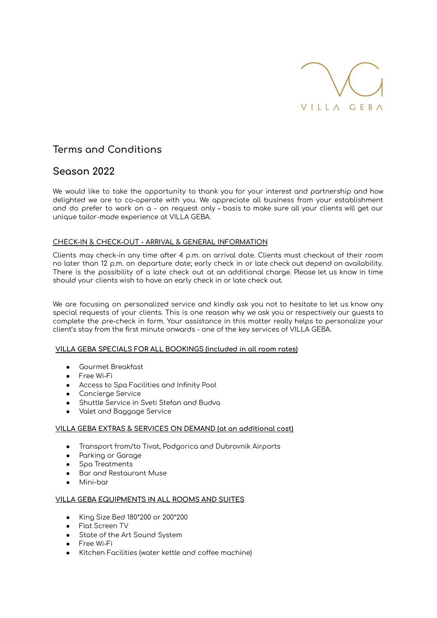

# **Terms and Conditions**

## **Season 2022**

We would like to take the opportunity to thank you for your interest and partnership and how delighted we are to co-operate with you. We appreciate all business from your establishment and do prefer to work on a - on request only – basis to make sure all your clients will get our unique tailor-made experience at VILLA GEBA.

## **CHECK-IN & CHECK-OUT - ARRIVAL & GENERAL INFORMATION**

Clients may check-in any time after 4 p.m. on arrival date. Clients must checkout of their room no later than 12 p.m. on departure date; early check in or late check out depend on availability. There is the possibility of a late check out at an additional charge. Please let us know in time should your clients wish to have an early check in or late check out.

We are focusing on personalized service and kindly ask you not to hesitate to let us know any special requests of your clients. This is one reason why we ask you or respectively our guests to complete the pre-check in form. Your assistance in this matter really helps to personalize your client's stay from the first minute onwards - one of the key services of VILLA GEBA.

## **VILLA GEBA SPECIALS FOR ALL BOOKINGS (included in all room rates)**

- Gourmet Breakfast
- Free Wi-Fi
- Access to Spa Facilities and Infinity Pool
- Concierge Service
- Shuttle Service in Sveti Stefan and Budva
- Valet and Baggage Service

## **VILLA GEBA EXTRAS & SERVICES ON DEMAND (at an additional cost)**

- Transport from/to Tivat, Podgorica and Dubrovnik Airports
- Parking or Garage
- Spa Treatments
- Bar and Restaurant Muse
- Mini-bar

## **VILLA GEBA EQUIPMENTS IN ALL ROOMS AND SUITES**

- King Size Bed 180\*200 or 200\*200
- Flat Screen TV
- State of the Art Sound System
- Free Wi-Fi
- Kitchen Facilities (water kettle and coffee machine)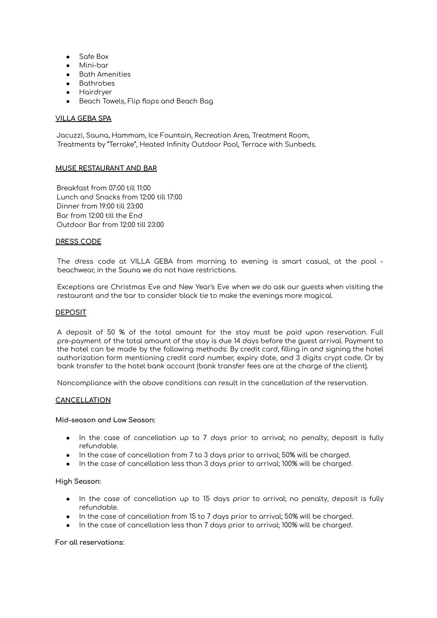- Safe Box
- Mini-bar
- Bath Amenities
- Bathrobes
- Hairdryer
- Beach Towels, Flip flops and Beach Bag

## **VILLA GEBA SPA**

Jacuzzi, Sauna, Hammam, Ice Fountain, Recreation Area, Treatment Room, Treatments by "Terrake", Heated Infinity Outdoor Pool, Terrace with Sunbeds.

#### **MUSE RESTAURANT AND BAR**

Breakfast from 07:00 till 11:00 Lunch and Snacks from 12:00 till 17:00 Dinner from 19:00 till 23:00 Bar from 12:00 till the End Outdoor Bar from 12:00 till 23:00

#### **DRESS CODE**

The dress code at VILLA GEBA from morning to evening is smart casual, at the pool beachwear, in the Sauna we do not have restrictions.

Exceptions are Christmas Eve and New Year's Eve when we do ask our guests when visiting the restaurant and the bar to consider black tie to make the evenings more magical.

#### **DEPOSIT**

A deposit of 50 % of the total amount for the stay must be paid upon reservation. Full pre-payment of the total amount of the stay is due 14 days before the guest arrival. Payment to the hotel can be made by the following methods: By credit card, filling in and signing the hotel authorization form mentioning credit card number, expiry date, and 3 digits crypt code. Or by bank transfer to the hotel bank account (bank transfer fees are at the charge of the client).

Noncompliance with the above conditions can result in the cancellation of the reservation.

#### **CANCELLATION**

#### **Mid-season and Low Season:**

- In the case of cancellation up to 7 days prior to arrival; no penalty, deposit is fully refundable.
- In the case of cancellation from 7 to 3 days prior to arrival; 50% will be charged.
- In the case of cancellation less than 3 days prior to arrival; 100% will be charged.

#### **High Season:**

- In the case of cancellation up to 15 days prior to arrival; no penalty, deposit is fully refundable.
- In the case of cancellation from 15 to 7 days prior to arrival; 50% will be charged.
- In the case of cancellation less than 7 days prior to arrival; 100% will be charged.

#### **For all reservations:**